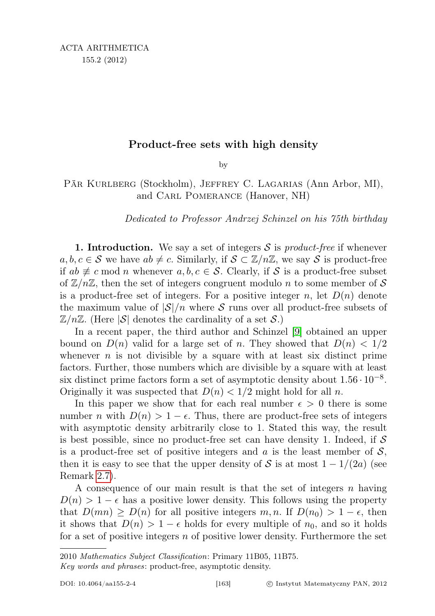## Product-free sets with high density

by

Pär Kurlberg (Stockholm), Jeffrey C. Lagarias (Ann Arbor, MI), and Carl Pomerance (Hanover, NH)

Dedicated to Professor Andrzej Schinzel on his 75th birthday

**1. Introduction.** We say a set of integers  $S$  is *product-free* if whenever  $a, b, c \in S$  we have  $ab \neq c$ . Similarly, if  $S \subset \mathbb{Z}/n\mathbb{Z}$ , we say S is product-free if  $ab \not\equiv c \mod n$  whenever  $a, b, c \in \mathcal{S}$ . Clearly, if S is a product-free subset of  $\mathbb{Z}/n\mathbb{Z}$ , then the set of integers congruent modulo n to some member of S is a product-free set of integers. For a positive integer n, let  $D(n)$  denote the maximum value of  $|\mathcal{S}|/n$  where S runs over all product-free subsets of  $\mathbb{Z}/n\mathbb{Z}$ . (Here  $|\mathcal{S}|$  denotes the cardinality of a set  $\mathcal{S}.$ )

In a recent paper, the third author and Schinzel [\[9\]](#page-10-0) obtained an upper bound on  $D(n)$  valid for a large set of n. They showed that  $D(n) < 1/2$ whenever  $n$  is not divisible by a square with at least six distinct prime factors. Further, those numbers which are divisible by a square with at least six distinct prime factors form a set of asymptotic density about  $1.56 \cdot 10^{-8}$ . Originally it was suspected that  $D(n) < 1/2$  might hold for all n.

In this paper we show that for each real number  $\epsilon > 0$  there is some number n with  $D(n) > 1 - \epsilon$ . Thus, there are product-free sets of integers with asymptotic density arbitrarily close to 1. Stated this way, the result is best possible, since no product-free set can have density 1. Indeed, if  $\mathcal S$ is a product-free set of positive integers and a is the least member of  $S$ , then it is easy to see that the upper density of S is at most  $1 - 1/(2a)$  (see Remark [2.7\)](#page-4-0).

A consequence of our main result is that the set of integers n having  $D(n) > 1 - \epsilon$  has a positive lower density. This follows using the property that  $D(mn) \ge D(n)$  for all positive integers  $m, n$ . If  $D(n_0) > 1 - \epsilon$ , then it shows that  $D(n) > 1 - \epsilon$  holds for every multiple of  $n_0$ , and so it holds for a set of positive integers  $n$  of positive lower density. Furthermore the set

Key words and phrases: product-free, asymptotic density.

<sup>2010</sup> Mathematics Subject Classification: Primary 11B05, 11B75.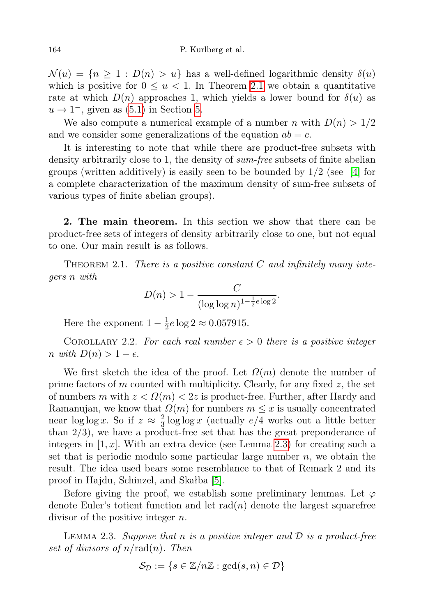$\mathcal{N}(u) = \{n \geq 1 : D(n) > u\}$  has a well-defined logarithmic density  $\delta(u)$ which is positive for  $0 \le u < 1$ . In Theorem [2.1](#page-1-0) we obtain a quantitative rate at which  $D(n)$  approaches 1, which yields a lower bound for  $\delta(u)$  as  $u \rightarrow 1^-$ , given as [\(5.1\)](#page-9-0) in Section [5.](#page-8-0)

We also compute a numerical example of a number n with  $D(n) > 1/2$ and we consider some generalizations of the equation  $ab = c$ .

It is interesting to note that while there are product-free subsets with density arbitrarily close to 1, the density of sum-free subsets of finite abelian groups (written additively) is easily seen to be bounded by  $1/2$  (see [\[4\]](#page-9-1) for a complete characterization of the maximum density of sum-free subsets of various types of finite abelian groups).

2. The main theorem. In this section we show that there can be product-free sets of integers of density arbitrarily close to one, but not equal to one. Our main result is as follows.

<span id="page-1-0"></span>THEOREM 2.1. There is a positive constant  $C$  and infinitely many integers n with

$$
D(n) > 1 - \frac{C}{(\log \log n)^{1 - \frac{1}{2}e \log 2}}.
$$

Here the exponent  $1-\frac{1}{2}$  $\frac{1}{2}e \log 2 \approx 0.057915.$ 

<span id="page-1-2"></span>COROLLARY 2.2. For each real number  $\epsilon > 0$  there is a positive integer n with  $D(n) > 1 - \epsilon$ .

We first sketch the idea of the proof. Let  $\Omega(m)$  denote the number of prime factors of m counted with multiplicity. Clearly, for any fixed  $z$ , the set of numbers m with  $z < \Omega(m) < 2z$  is product-free. Further, after Hardy and Ramanujan, we know that  $\Omega(m)$  for numbers  $m \leq x$  is usually concentrated near  $\log \log x$ . So if  $z \approx \frac{2}{3}$  $\frac{2}{3}$  log log x (actually  $e/4$  works out a little better than  $2/3$ , we have a product-free set that has the great preponderance of integers in  $[1, x]$ . With an extra device (see Lemma [2.3\)](#page-1-1) for creating such a set that is periodic modulo some particular large number  $n$ , we obtain the result. The idea used bears some resemblance to that of Remark 2 and its proof in Hajdu, Schinzel, and Skałba [\[5\]](#page-10-1).

Before giving the proof, we establish some preliminary lemmas. Let  $\varphi$ denote Euler's totient function and let  $rad(n)$  denote the largest squarefree divisor of the positive integer n.

<span id="page-1-1"></span>LEMMA 2.3. Suppose that n is a positive integer and  $\mathcal D$  is a product-free set of divisors of  $n/\text{rad}(n)$ . Then

$$
\mathcal{S}_{\mathcal{D}} := \{ s \in \mathbb{Z}/n\mathbb{Z} : \gcd(s, n) \in \mathcal{D} \}
$$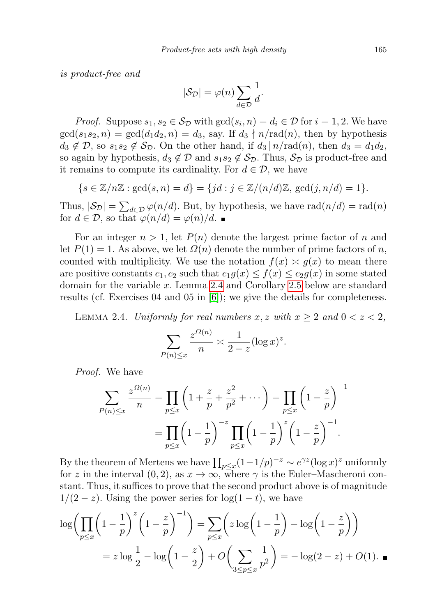is product-free and

$$
|\mathcal{S}_{\mathcal{D}}| = \varphi(n) \sum_{d \in \mathcal{D}} \frac{1}{d}.
$$

*Proof.* Suppose  $s_1, s_2 \in S_{\mathcal{D}}$  with  $gcd(s_i, n) = d_i \in \mathcal{D}$  for  $i = 1, 2$ . We have  $gcd(s_1s_2, n) = gcd(d_1d_2, n) = d_3$ , say. If  $d_3 \nmid n/rad(n)$ , then by hypothesis  $d_3 \notin \mathcal{D}$ , so  $s_1s_2 \notin \mathcal{S}_{\mathcal{D}}$ . On the other hand, if  $d_3 | n/rad(n)$ , then  $d_3 = d_1d_2$ , so again by hypothesis,  $d_3 \notin \mathcal{D}$  and  $s_1s_2 \notin \mathcal{S}_{\mathcal{D}}$ . Thus,  $\mathcal{S}_{\mathcal{D}}$  is product-free and it remains to compute its cardinality. For  $d \in \mathcal{D}$ , we have

$$
\{s\in\mathbb{Z}/n\mathbb{Z}:\gcd(s,n)=d\}=\{jd:j\in\mathbb{Z}/(n/d)\mathbb{Z},\,\gcd(j,n/d)=1\}.
$$

Thus,  $|\mathcal{S}_{\mathcal{D}}| = \sum_{d \in \mathcal{D}} \varphi(n/d)$ . But, by hypothesis, we have  $\text{rad}(n/d) = \text{rad}(n)$ for  $d \in \mathcal{D}$ , so that  $\varphi(n/d) = \varphi(n)/d$ .

For an integer  $n > 1$ , let  $P(n)$  denote the largest prime factor of n and let  $P(1) = 1$ . As above, we let  $\Omega(n)$  denote the number of prime factors of n, counted with multiplicity. We use the notation  $f(x) \approx g(x)$  to mean there are positive constants  $c_1, c_2$  such that  $c_1g(x) \leq f(x) \leq c_2g(x)$  in some stated domain for the variable x. Lemma [2.4](#page-2-0) and Corollary [2.5](#page-3-0) below are standard results (cf. Exercises 04 and 05 in [\[6\]](#page-10-2)); we give the details for completeness.

<span id="page-2-0"></span>LEMMA 2.4. Uniformly for real numbers  $x, z$  with  $x \ge 2$  and  $0 < z < 2$ ,

$$
\sum_{P(n)\leq x} \frac{z^{\Omega(n)}}{n} \asymp \frac{1}{2-z} (\log x)^z.
$$

Proof. We have

$$
\sum_{P(n)\leq x} \frac{z^{\Omega(n)}}{n} = \prod_{p\leq x} \left(1 + \frac{z}{p} + \frac{z^2}{p^2} + \cdots \right) = \prod_{p\leq x} \left(1 - \frac{z}{p}\right)^{-1}
$$

$$
= \prod_{p\leq x} \left(1 - \frac{1}{p}\right)^{-z} \prod_{p\leq x} \left(1 - \frac{1}{p}\right)^{z} \left(1 - \frac{z}{p}\right)^{-1}.
$$

By the theorem of Mertens we have  $\prod_{p\leq x}(1-1/p)^{-z}\sim e^{\gamma z}(\log x)^z$  uniformly for z in the interval  $(0, 2)$ , as  $x \to \infty$ , where  $\gamma$  is the Euler–Mascheroni constant. Thus, it suffices to prove that the second product above is of magnitude  $1/(2-z)$ . Using the power series for  $log(1-t)$ , we have

$$
\log \left( \prod_{p \le x} \left( 1 - \frac{1}{p} \right)^z \left( 1 - \frac{z}{p} \right)^{-1} \right) = \sum_{p \le x} \left( z \log \left( 1 - \frac{1}{p} \right) - \log \left( 1 - \frac{z}{p} \right) \right)
$$

$$
= z \log \frac{1}{2} - \log \left( 1 - \frac{z}{2} \right) + O \left( \sum_{3 \le p \le x} \frac{1}{p^2} \right) = -\log(2 - z) + O(1).
$$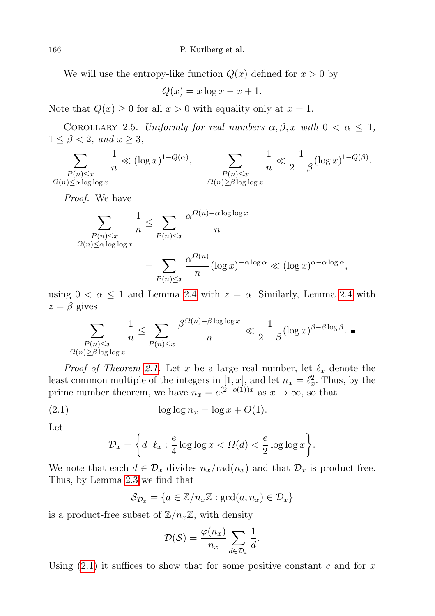We will use the entropy-like function  $Q(x)$  defined for  $x > 0$  by

$$
Q(x) = x \log x - x + 1.
$$

Note that  $Q(x) \geq 0$  for all  $x > 0$  with equality only at  $x = 1$ .

<span id="page-3-0"></span>COROLLARY 2.5. Uniformly for real numbers  $\alpha, \beta, x$  with  $0 < \alpha \leq 1$ ,  $1 \leq \beta < 2$ , and  $x \geq 3$ ,

$$
\sum_{\substack{P(n)\leq x\\ \Omega(n)\leq \alpha \log \log x}} \frac{1}{n} \ll (\log x)^{1-Q(\alpha)}, \qquad \sum_{\substack{P(n)\leq x\\ \Omega(n)\geq \beta \log \log x}} \frac{1}{n} \ll \frac{1}{2-\beta} (\log x)^{1-Q(\beta)}.
$$

Proof. We have

$$
\sum_{\substack{P(n)\leq x\\ \Omega(n)\leq \alpha \log \log x}} \frac{1}{n} \leq \sum_{P(n)\leq x} \frac{\alpha^{\Omega(n)-\alpha \log \log x}}{n}
$$

$$
= \sum_{P(n)\leq x} \frac{\alpha^{\Omega(n)}}{n} (\log x)^{-\alpha \log \alpha} \ll (\log x)^{\alpha-\alpha \log \alpha},
$$

using  $0 < \alpha \leq 1$  and Lemma [2.4](#page-2-0) with  $z = \alpha$ . Similarly, Lemma 2.4 with  $z = \beta$  gives

$$
\sum_{\substack{P(n)\leq x\\ \Omega(n)\geq \beta \log \log x}}\frac{1}{n}\leq \sum_{P(n)\leq x}\frac{\beta^{\Omega(n)-\beta \log \log x}}{n}\ll \frac{1}{2-\beta}(\log x)^{\beta-\beta \log \beta}.
$$

*Proof of Theorem [2.1.](#page-1-0)* Let x be a large real number, let  $\ell_x$  denote the least common multiple of the integers in  $[1, x]$ , and let  $n_x = \ell_x^2$ . Thus, by the prime number theorem, we have  $n_x = e^{(2+o(1))x}$  as  $x \to \infty$ , so that

$$
(2.1) \t\t \log \log n_x = \log x + O(1).
$$

Let

<span id="page-3-1"></span>
$$
\mathcal{D}_x = \left\{ d \,|\, \ell_x : \frac{e}{4} \log \log x < \Omega(d) < \frac{e}{2} \log \log x \right\}.
$$

We note that each  $d \in \mathcal{D}_x$  divides  $n_x/\text{rad}(n_x)$  and that  $\mathcal{D}_x$  is product-free. Thus, by Lemma [2.3](#page-1-1) we find that

$$
\mathcal{S}_{\mathcal{D}_x} = \{ a \in \mathbb{Z}/n_x \mathbb{Z} : \gcd(a, n_x) \in \mathcal{D}_x \}
$$

is a product-free subset of  $\mathbb{Z}/n_{x}\mathbb{Z}$ , with density

$$
\mathcal{D}(\mathcal{S}) = \frac{\varphi(n_x)}{n_x} \sum_{d \in \mathcal{D}_x} \frac{1}{d}.
$$

Using  $(2.1)$  it suffices to show that for some positive constant c and for x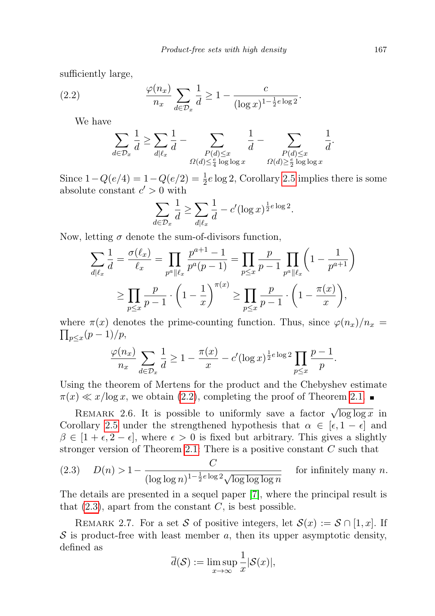sufficiently large,

(2.2) 
$$
\frac{\varphi(n_x)}{n_x} \sum_{d \in \mathcal{D}_x} \frac{1}{d} \ge 1 - \frac{c}{(\log x)^{1 - \frac{1}{2}e \log 2}}.
$$

We have

<span id="page-4-1"></span>
$$
\sum_{d\in \mathcal{D}_x}\frac{1}{d}\geq \sum_{d\mid \ell_x}\frac{1}{d}-\sum_{\substack{P(d)\leq x\\ \Omega(d)\leq \frac{e}{4}\log\log x}}\frac{1}{d}-\sum_{\substack{P(d)\leq x\\ \Omega(d)\geq \frac{e}{2}\log\log x}}\frac{1}{d}.
$$

Since  $1 - Q(e/4) = 1 - Q(e/2) = \frac{1}{2}e \log 2$ , Corollary [2.5](#page-3-0) implies there is some absolute constant  $c' > 0$  with

$$
\sum_{d \in \mathcal{D}_x} \frac{1}{d} \ge \sum_{d \mid \ell_x} \frac{1}{d} - c' (\log x)^{\frac{1}{2}e \log 2}.
$$

Now, letting  $\sigma$  denote the sum-of-divisors function,

$$
\sum_{d|\ell_x} \frac{1}{d} = \frac{\sigma(\ell_x)}{\ell_x} = \prod_{p^a || \ell_x} \frac{p^{a+1} - 1}{p^a(p-1)} = \prod_{p \le x} \frac{p}{p-1} \prod_{p^a || \ell_x} \left(1 - \frac{1}{p^{a+1}}\right)
$$

$$
\ge \prod_{p \le x} \frac{p}{p-1} \cdot \left(1 - \frac{1}{x}\right)^{\pi(x)} \ge \prod_{p \le x} \frac{p}{p-1} \cdot \left(1 - \frac{\pi(x)}{x}\right),
$$

where  $\pi(x)$  denotes the prime-counting function. Thus, since  $\varphi(n_x)/n_x =$  $\prod_{p\leq x}(p-1)/p,$ 

$$
\frac{\varphi(n_x)}{n_x} \sum_{d \in \mathcal{D}_x} \frac{1}{d} \ge 1 - \frac{\pi(x)}{x} - c' (\log x)^{\frac{1}{2}e \log 2} \prod_{p \le x} \frac{p-1}{p}.
$$

Using the theorem of Mertens for the product and the Chebyshev estimate  $\pi(x) \ll x/\log x$ , we obtain [\(2.2\)](#page-4-1), completing the proof of Theorem [2.1.](#page-1-0)

REMARK 2.6. It is possible to uniformly save a factor  $\sqrt{\log \log x}$  in Corollary [2.5](#page-3-0) under the strengthened hypothesis that  $\alpha \in [\epsilon, 1 - \epsilon]$  and  $\beta \in [1 + \epsilon, 2 - \epsilon]$ , where  $\epsilon > 0$  is fixed but arbitrary. This gives a slightly stronger version of Theorem [2.1:](#page-1-0) There is a positive constant C such that

<span id="page-4-2"></span>(2.3) 
$$
D(n) > 1 - \frac{C}{(\log \log n)^{1 - \frac{1}{2}e \log 2} \sqrt{\log \log \log n}}
$$
 for infinitely many *n*.

The details are presented in a sequel paper [\[7\]](#page-10-3), where the principal result is that  $(2.3)$ , apart from the constant C, is best possible.

<span id="page-4-0"></span>REMARK 2.7. For a set S of positive integers, let  $S(x) := S \cap [1, x]$ . If  $S$  is product-free with least member a, then its upper asymptotic density, defined as

$$
\overline{d}(\mathcal{S}) := \limsup_{x \to \infty} \frac{1}{x} |\mathcal{S}(x)|,
$$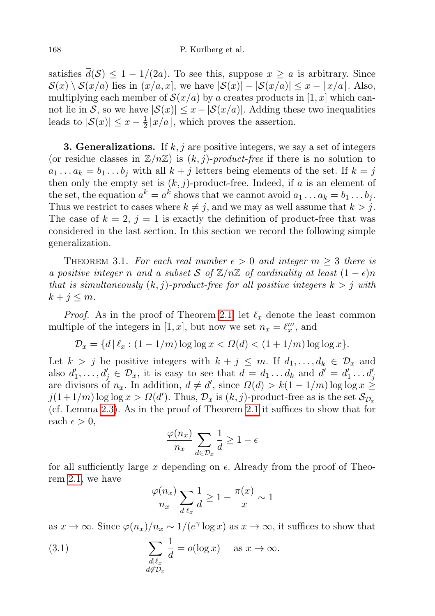## 168 P. Kurlberg et al.

satisfies  $\overline{d}(\mathcal{S}) \leq 1 - 1/(2a)$ . To see this, suppose  $x \geq a$  is arbitrary. Since  $S(x) \setminus S(x/a)$  lies in  $(x/a, x]$ , we have  $|S(x)| - |S(x/a)| \leq x - |x/a|$ . Also, multiplying each member of  $\mathcal{S}(x/a)$  by a creates products in [1, x] which cannot lie in S, so we have  $|\mathcal{S}(x)| \leq x - |\mathcal{S}(x/a)|$ . Adding these two inequalities leads to  $|\mathcal{S}(x)| \leq x - \frac{1}{2}$  $\frac{1}{2}$ [x/a], which proves the assertion.

**3. Generalizations.** If  $k, j$  are positive integers, we say a set of integers (or residue classes in  $\mathbb{Z}/n\mathbb{Z}$ ) is  $(k, j)$ -product-free if there is no solution to  $a_1 \dots a_k = b_1 \dots b_j$  with all  $k + j$  letters being elements of the set. If  $k = j$ then only the empty set is  $(k, j)$ -product-free. Indeed, if a is an element of the set, the equation  $a^k = a^k$  shows that we cannot avoid  $a_1 \dots a_k = b_1 \dots b_j$ . Thus we restrict to cases where  $k \neq j$ , and we may as well assume that  $k > j$ . The case of  $k = 2$ ,  $j = 1$  is exactly the definition of product-free that was considered in the last section. In this section we record the following simple generalization.

<span id="page-5-1"></span>THEOREM 3.1. For each real number  $\epsilon > 0$  and integer  $m \geq 3$  there is a positive integer n and a subset S of  $\mathbb{Z}/n\mathbb{Z}$  of cardinality at least  $(1 - \epsilon)n$ that is simultaneously  $(k, j)$ -product-free for all positive integers  $k > j$  with  $k + j \leq m$ .

*Proof.* As in the proof of Theorem [2.1,](#page-1-0) let  $\ell_x$  denote the least common multiple of the integers in [1, x], but now we set  $n_x = \ell_x^m$ , and

$$
\mathcal{D}_x = \{d \mid \ell_x : (1 - 1/m) \log \log x < \Omega(d) < (1 + 1/m) \log \log x\}.
$$

Let  $k > j$  be positive integers with  $k + j \leq m$ . If  $d_1, \ldots, d_k \in \mathcal{D}_x$  and also  $d'_1, \ldots, d'_j \in \mathcal{D}_x$ , it is easy to see that  $d = d_1 \ldots d_k$  and  $d' = d'_1 \ldots d'_j$ are divisors of  $n_x$ . In addition,  $d \neq d'$ , since  $\Omega(d) > k(1 - 1/m) \log \log x \ge$  $j(1+1/m) \log \log x > \Omega(d')$ . Thus,  $\mathcal{D}_x$  is  $(k, j)$ -product-free as is the set  $\mathcal{S}_{\mathcal{D}_x}$ (cf. Lemma [2.3\)](#page-1-1). As in the proof of Theorem [2.1](#page-1-0) it suffices to show that for each  $\epsilon > 0$ ,

$$
\frac{\varphi(n_x)}{n_x}\sum_{d\in\mathcal{D}_x}\frac{1}{d}\geq 1-\epsilon
$$

for all sufficiently large x depending on  $\epsilon$ . Already from the proof of Theorem [2.1,](#page-1-0) we have

<span id="page-5-0"></span>
$$
\frac{\varphi(n_x)}{n_x} \sum_{d|\ell_x} \frac{1}{d} \ge 1 - \frac{\pi(x)}{x} \sim 1
$$

as  $x \to \infty$ . Since  $\varphi(n_x)/n_x \sim 1/(e^{\gamma} \log x)$  as  $x \to \infty$ , it suffices to show that

(3.1) 
$$
\sum_{\substack{d|\ell_x \\ d \notin \mathcal{D}_x}} \frac{1}{d} = o(\log x) \quad \text{as } x \to \infty.
$$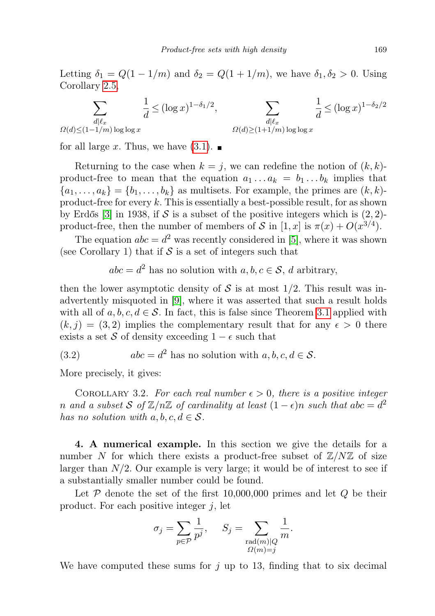Letting  $\delta_1 = Q(1 - 1/m)$  and  $\delta_2 = Q(1 + 1/m)$ , we have  $\delta_1, \delta_2 > 0$ . Using Corollary [2.5,](#page-3-0)

$$
\sum_{\substack{d|\ell_x \\ \Omega(d) \le (1-1/m)\log\log x}} \frac{1}{d} \le (\log x)^{1-\delta_1/2}, \qquad \sum_{\substack{d|\ell_x \\ \Omega(d) \ge (1+1/m)\log\log x}} \frac{1}{d} \le (\log x)^{1-\delta_2/2}
$$

for all large x. Thus, we have  $(3.1)$ .

Returning to the case when  $k = j$ , we can redefine the notion of  $(k, k)$ product-free to mean that the equation  $a_1 \ldots a_k = b_1 \ldots b_k$  implies that  ${a_1, \ldots, a_k} = {b_1, \ldots, b_k}$  as multisets. For example, the primes are  $(k, k)$ product-free for every  $k$ . This is essentially a best-possible result, for as shown by Erdős [\[3\]](#page-9-2) in 1938, if S is a subset of the positive integers which is  $(2, 2)$ product-free, then the number of members of S in  $[1, x]$  is  $\pi(x) + O(x^{3/4})$ .

The equation  $abc = d^2$  was recently considered in [\[5\]](#page-10-1), where it was shown (see Corollary 1) that if  $S$  is a set of integers such that

 $abc = d^2$  has no solution with  $a, b, c \in \mathcal{S}$ , d arbitrary,

then the lower asymptotic density of S is at most  $1/2$ . This result was inadvertently misquoted in [\[9\]](#page-10-0), where it was asserted that such a result holds with all of  $a, b, c, d \in \mathcal{S}$ . In fact, this is false since Theorem [3.1](#page-5-1) applied with  $(k, j) = (3, 2)$  implies the complementary result that for any  $\epsilon > 0$  there exists a set S of density exceeding  $1 - \epsilon$  such that

(3.2) 
$$
abc = d^2 \text{ has no solution with } a, b, c, d \in \mathcal{S}.
$$

More precisely, it gives:

COROLLARY 3.2. For each real number  $\epsilon > 0$ , there is a positive integer n and a subset S of  $\mathbb{Z}/n\mathbb{Z}$  of cardinality at least  $(1 - \epsilon)n$  such that abc =  $d^2$ has no solution with  $a, b, c, d \in S$ .

4. A numerical example. In this section we give the details for a number N for which there exists a product-free subset of  $\mathbb{Z}/N\mathbb{Z}$  of size larger than  $N/2$ . Our example is very large; it would be of interest to see if a substantially smaller number could be found.

Let  $P$  denote the set of the first 10,000,000 primes and let  $Q$  be their product. For each positive integer  $j$ , let

$$
\sigma_j = \sum_{p \in \mathcal{P}} \frac{1}{p^j}, \quad S_j = \sum_{\substack{\text{rad}(m) \mid Q \\ \Omega(m) = j}} \frac{1}{m}.
$$

We have computed these sums for  $j$  up to 13, finding that to six decimal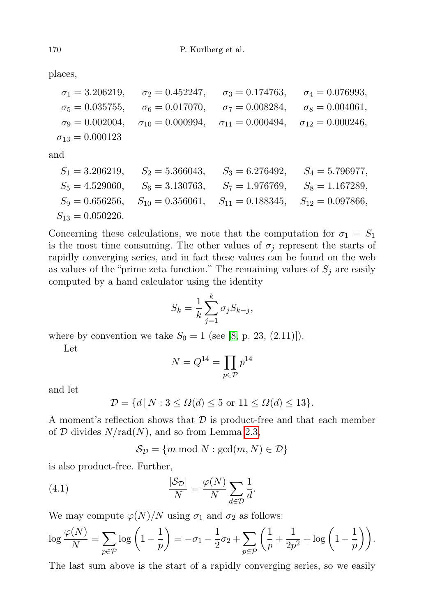places,

$$
\begin{aligned}\n\sigma_1 &= 3.206219, & \sigma_2 &= 0.452247, & \sigma_3 &= 0.174763, & \sigma_4 &= 0.076993, \\
\sigma_5 &= 0.035755, & \sigma_6 &= 0.017070, & \sigma_7 &= 0.008284, & \sigma_8 &= 0.004061, \\
\sigma_9 &= 0.002004, & \sigma_{10} &= 0.000994, & \sigma_{11} &= 0.000494, & \sigma_{12} &= 0.000246, \\
\sigma_{13} &= 0.000123\n\end{aligned}
$$

and

| $S_1 = 3.206219$    | $S_2 = 5.366043$    | $S_3 = 6.276492$    | $S_4 = 5.796977$    |
|---------------------|---------------------|---------------------|---------------------|
| $S_5 = 4.529060$    | $S_6 = 3.130763$    | $S_7 = 1.976769$    | $S_8 = 1.167289$    |
| $S_9 = 0.656256$    | $S_{10} = 0.356061$ | $S_{11} = 0.188345$ | $S_{12} = 0.097866$ |
| $S_{13} = 0.050226$ |                     |                     |                     |

Concerning these calculations, we note that the computation for  $\sigma_1 = S_1$ is the most time consuming. The other values of  $\sigma_j$  represent the starts of rapidly converging series, and in fact these values can be found on the web as values of the "prime zeta function." The remaining values of  $S_j$  are easily computed by a hand calculator using the identity

$$
S_k = \frac{1}{k} \sum_{j=1}^k \sigma_j S_{k-j},
$$

where by convention we take  $S_0 = 1$  (see [\[8,](#page-10-4) p. 23, (2.11)]).

Let

$$
N = Q^{14} = \prod_{p \in \mathcal{P}} p^{14}
$$

and let

$$
\mathcal{D} = \{d \, | \, N : 3 \le \Omega(d) \le 5 \text{ or } 11 \le \Omega(d) \le 13\}.
$$

A moment's reflection shows that  $D$  is product-free and that each member of  $D$  divides  $N/rad(N)$ , and so from Lemma [2.3,](#page-1-1)

<span id="page-7-0"></span>
$$
S_{\mathcal{D}} = \{m \bmod N : \gcd(m, N) \in \mathcal{D}\}\
$$

is also product-free. Further,

(4.1) 
$$
\frac{|\mathcal{S}_D|}{N} = \frac{\varphi(N)}{N} \sum_{d \in \mathcal{D}} \frac{1}{d}.
$$

We may compute  $\varphi(N)/N$  using  $\sigma_1$  and  $\sigma_2$  as follows:

$$
\log \frac{\varphi(N)}{N} = \sum_{p \in \mathcal{P}} \log \left( 1 - \frac{1}{p} \right) = -\sigma_1 - \frac{1}{2}\sigma_2 + \sum_{p \in \mathcal{P}} \left( \frac{1}{p} + \frac{1}{2p^2} + \log \left( 1 - \frac{1}{p} \right) \right).
$$

The last sum above is the start of a rapidly converging series, so we easily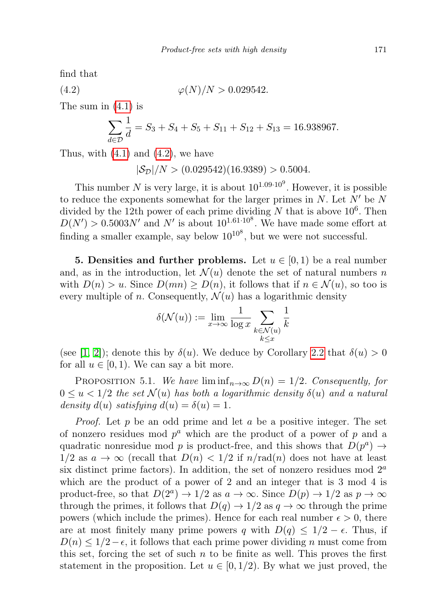find that

(4.2) 
$$
\varphi(N)/N > 0.029542.
$$

The sum in [\(4.1\)](#page-7-0) is

<span id="page-8-1"></span>
$$
\sum_{d \in \mathcal{D}} \frac{1}{d} = S_3 + S_4 + S_5 + S_{11} + S_{12} + S_{13} = 16.938967.
$$

Thus, with  $(4.1)$  and  $(4.2)$ , we have

 $|\mathcal{S}_{\mathcal{D}}|/N$  >  $(0.029542)(16.9389)$  > 0.5004.

This number N is very large, it is about  $10^{1.09 \cdot 10^9}$ . However, it is possible to reduce the exponents somewhat for the larger primes in  $N$ . Let  $N'$  be N divided by the 12th power of each prime dividing N that is above  $10^6$ . Then  $D(N') > 0.5003N'$  and N' is about  $10^{1.61 \cdot 10^8}$ . We have made some effort at finding a smaller example, say below  $10^{10^8}$ , but we were not successful.

<span id="page-8-0"></span>**5. Densities and further problems.** Let  $u \in [0, 1)$  be a real number and, as in the introduction, let  $\mathcal{N}(u)$  denote the set of natural numbers n with  $D(n) > u$ . Since  $D(mn) \ge D(n)$ , it follows that if  $n \in \mathcal{N}(u)$ , so too is every multiple of n. Consequently,  $\mathcal{N}(u)$  has a logarithmic density

$$
\delta(\mathcal{N}(u)) := \lim_{x \to \infty} \frac{1}{\log x} \sum_{\substack{k \in \mathcal{N}(u) \\ k \le x}} \frac{1}{k}
$$

(see [\[1,](#page-9-3) [2\]](#page-9-4)); denote this by  $\delta(u)$ . We deduce by Corollary [2.2](#page-1-2) that  $\delta(u) > 0$ for all  $u \in [0, 1)$ . We can say a bit more.

<span id="page-8-2"></span>PROPOSITION 5.1. We have  $\liminf_{n\to\infty} D(n) = 1/2$ . Consequently, for  $0 \le u \le 1/2$  the set  $\mathcal{N}(u)$  has both a logarithmic density  $\delta(u)$  and a natural density  $d(u)$  satisfying  $d(u) = \delta(u) = 1$ .

*Proof.* Let p be an odd prime and let a be a positive integer. The set of nonzero residues mod  $p^a$  which are the product of a power of p and a quadratic nonresidue mod p is product-free, and this shows that  $D(p^a) \rightarrow$  $1/2$  as  $a \to \infty$  (recall that  $D(n) < 1/2$  if  $n/rad(n)$  does not have at least six distinct prime factors). In addition, the set of nonzero residues mod  $2<sup>a</sup>$ which are the product of a power of 2 and an integer that is 3 mod 4 is product-free, so that  $D(2^a) \to 1/2$  as  $a \to \infty$ . Since  $D(p) \to 1/2$  as  $p \to \infty$ through the primes, it follows that  $D(q) \to 1/2$  as  $q \to \infty$  through the prime powers (which include the primes). Hence for each real number  $\epsilon > 0$ , there are at most finitely many prime powers q with  $D(q) \leq 1/2 - \epsilon$ . Thus, if  $D(n) \leq 1/2 - \epsilon$ , it follows that each prime power dividing n must come from this set, forcing the set of such  $n$  to be finite as well. This proves the first statement in the proposition. Let  $u \in [0, 1/2)$ . By what we just proved, the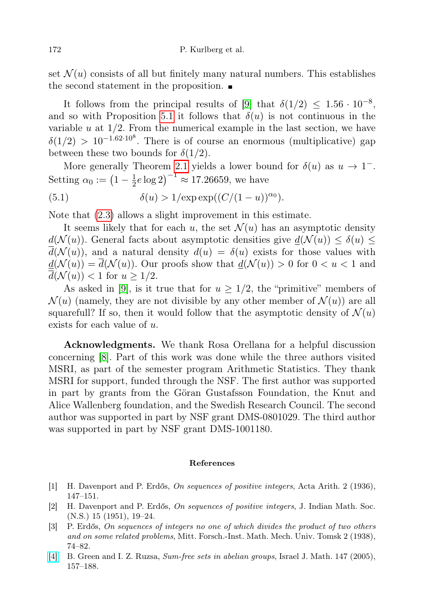set  $\mathcal{N}(u)$  consists of all but finitely many natural numbers. This establishes the second statement in the proposition.

It follows from the principal results of [\[9\]](#page-10-0) that  $\delta(1/2) \leq 1.56 \cdot 10^{-8}$ , and so with Proposition [5.1](#page-8-2) it follows that  $\delta(u)$  is not continuous in the variable  $u$  at  $1/2$ . From the numerical example in the last section, we have  $\delta(1/2) > 10^{-1.62 \cdot 10^8}$ . There is of course an enormous (multiplicative) gap between these two bounds for  $\delta(1/2)$ .

More generally Theorem [2.1](#page-1-0) yields a lower bound for  $\delta(u)$  as  $u \to 1^-$ . Setting  $\alpha_0 := \left(1 - \frac{1}{2}\right)$  $(\frac{1}{2}e \log 2)^{-1} \approx 17.26659$ , we have

<span id="page-9-0"></span>(5.1) 
$$
\delta(u) > 1/\exp \exp((C/(1-u))^{\alpha_0}).
$$

Note that [\(2.3\)](#page-4-2) allows a slight improvement in this estimate.

It seems likely that for each u, the set  $\mathcal{N}(u)$  has an asymptotic density  $d(\mathcal{N}(u))$ . General facts about asymptotic densities give  $d(\mathcal{N}(u)) \leq \delta(u) \leq$  $d(\mathcal{N}(u))$ , and a natural density  $d(u) = \delta(u)$  exists for those values with  $\underline{d}(\mathcal{N}(u)) = \overline{d}(\mathcal{N}(u))$ . Our proofs show that  $\underline{d}(\mathcal{N}(u)) > 0$  for  $0 < u < 1$  and  $d(\mathcal{N}(u)) < 1$  for  $u \geq 1/2$ .

As asked in [\[9\]](#page-10-0), is it true that for  $u \geq 1/2$ , the "primitive" members of  $\mathcal{N}(u)$  (namely, they are not divisible by any other member of  $\mathcal{N}(u)$ ) are all squarefull? If so, then it would follow that the asymptotic density of  $\mathcal{N}(u)$ exists for each value of u.

Acknowledgments. We thank Rosa Orellana for a helpful discussion concerning [\[8\]](#page-10-4). Part of this work was done while the three authors visited MSRI, as part of the semester program Arithmetic Statistics. They thank MSRI for support, funded through the NSF. The first author was supported in part by grants from the Göran Gustafsson Foundation, the Knut and Alice Wallenberg foundation, and the Swedish Research Council. The second author was supported in part by NSF grant DMS-0801029. The third author was supported in part by NSF grant DMS-1001180.

## References

- <span id="page-9-3"></span>[1] H. Davenport and P. Erdős, On sequences of positive integers, Acta Arith. 2 (1936), 147–151.
- <span id="page-9-4"></span>[2] H. Davenport and P. Erdős, On sequences of positive integers, J. Indian Math. Soc. (N.S.) 15 (1951), 19–24.
- <span id="page-9-2"></span>[3] P. Erdős, On sequences of integers no one of which divides the product of two others and on some related problems, Mitt. Forsch.-Inst. Math. Mech. Univ. Tomsk 2 (1938), 74–82.
- <span id="page-9-1"></span>[\[4\]](http://dx.doi.org/10.1007/BF02785363) B. Green and I. Z. Ruzsa, Sum-free sets in abelian groups, Israel J. Math. 147 (2005), 157–188.